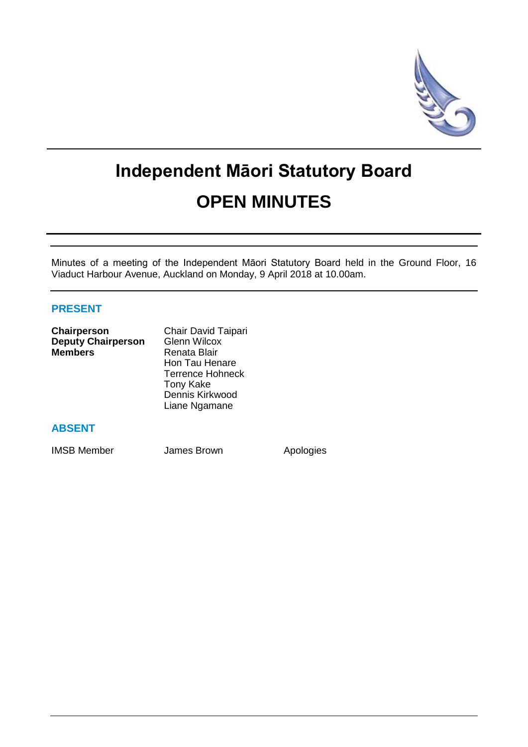

# **Independent Māori Statutory Board OPEN MINUTES**

Minutes of a meeting of the Independent Māori Statutory Board held in the Ground Floor, 16 Viaduct Harbour Avenue, Auckland on Monday, 9 April 2018 at 10.00am.

# **PRESENT**

| Chairperson               | Chair David Taipari     |
|---------------------------|-------------------------|
| <b>Deputy Chairperson</b> | <b>Glenn Wilcox</b>     |
| <b>Members</b>            | Renata Blair            |
|                           | Hon Tau Henare          |
|                           | <b>Terrence Hohneck</b> |
|                           | <b>Tony Kake</b>        |
|                           | Dennis Kirkwood         |
|                           | Liane Ngamane           |
|                           |                         |

## **ABSENT**

IMSB Member **James Brown** Apologies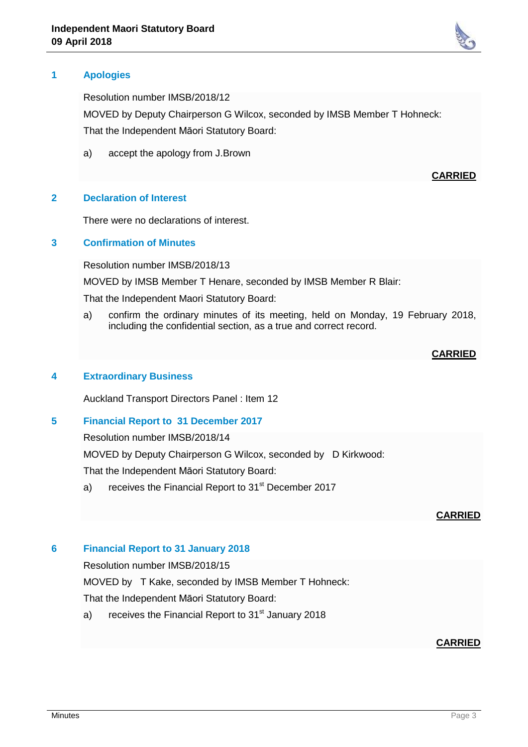

Resolution number IMSB/2018/12

MOVED by Deputy Chairperson G Wilcox, seconded by IMSB Member T Hohneck: That the Independent Māori Statutory Board:

a) accept the apology from J.Brown

## **2 Declaration of Interest**

There were no declarations of interest.

## **3 Confirmation of Minutes**

Resolution number IMSB/2018/13

MOVED by IMSB Member T Henare, seconded by IMSB Member R Blair:

That the Independent Maori Statutory Board:

a) confirm the ordinary minutes of its meeting, held on Monday, 19 February 2018, including the confidential section, as a true and correct record.

**CARRIED**

### **4 Extraordinary Business**

Auckland Transport Directors Panel : Item 12

## **5 Financial Report to 31 December 2017**

Resolution number IMSB/2018/14

MOVED by Deputy Chairperson G Wilcox, seconded by D Kirkwood:

That the Independent Māori Statutory Board:

a) receives the Financial Report to 31<sup>st</sup> December 2017

#### **CARRIED**

## **6 Financial Report to 31 January 2018**

Resolution number IMSB/2018/15

MOVED by T Kake, seconded by IMSB Member T Hohneck:

That the Independent Māori Statutory Board:

a) receives the Financial Report to  $31<sup>st</sup>$  January 2018

## **CARRIED**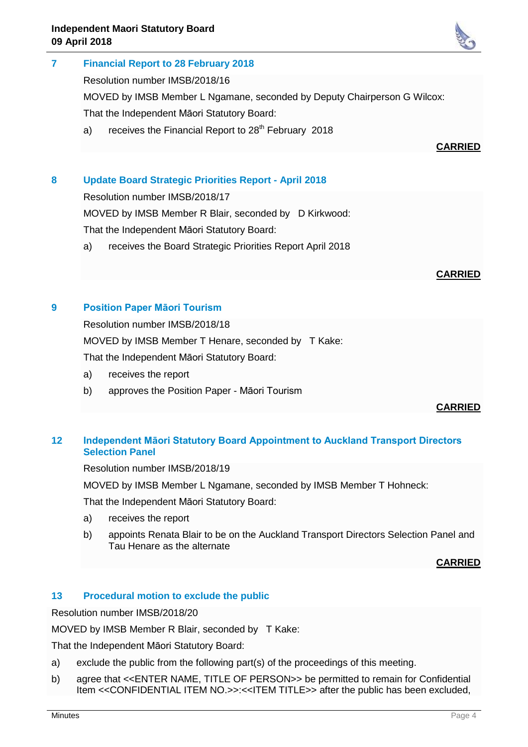

Resolution number IMSB/2018/16

MOVED by IMSB Member L Ngamane, seconded by Deputy Chairperson G Wilcox:

That the Independent Māori Statutory Board:

a) receives the Financial Report to  $28<sup>th</sup>$  February 2018

# **CARRIED**

# **8 Update Board Strategic Priorities Report - April 2018**

Resolution number IMSB/2018/17

MOVED by IMSB Member R Blair, seconded by D Kirkwood:

That the Independent Māori Statutory Board:

a) receives the Board Strategic Priorities Report April 2018

# **CARRIED**

# **9 Position Paper Māori Tourism**

Resolution number IMSB/2018/18

MOVED by IMSB Member T Henare, seconded by T Kake:

That the Independent Māori Statutory Board:

- a) receives the report
- b) approves the Position Paper Māori Tourism

# **CARRIED**

# **12 Independent Māori Statutory Board Appointment to Auckland Transport Directors Selection Panel**

Resolution number IMSB/2018/19

MOVED by IMSB Member L Ngamane, seconded by IMSB Member T Hohneck:

That the Independent Māori Statutory Board:

- a) receives the report
- b) appoints Renata Blair to be on the Auckland Transport Directors Selection Panel and Tau Henare as the alternate

**CARRIED**

## **13 Procedural motion to exclude the public**

Resolution number IMSB/2018/20

MOVED by IMSB Member R Blair, seconded by T Kake:

That the Independent Māori Statutory Board:

- a) exclude the public from the following part(s) of the proceedings of this meeting.
- b) agree that <<ENTER NAME, TITLE OF PERSON>> be permitted to remain for Confidential Item <<CONFIDENTIAL ITEM NO.>>:<<ITEM TITLE>> after the public has been excluded,

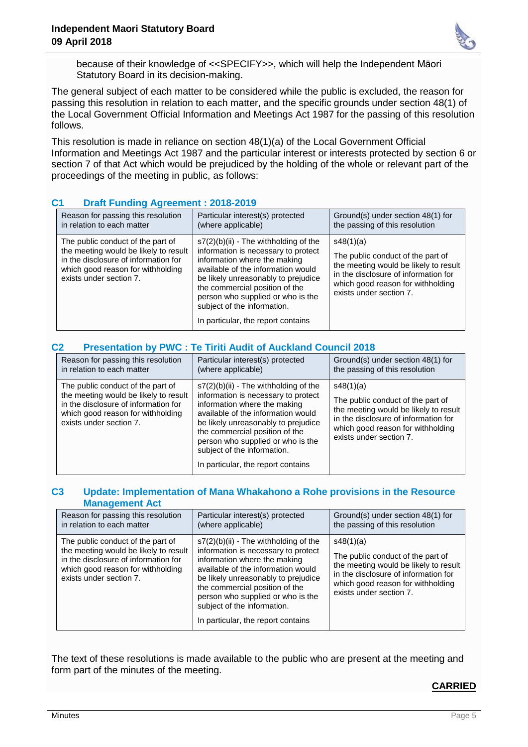

because of their knowledge of <<SPECIFY>>, which will help the Independent Māori Statutory Board in its decision-making.

The general subject of each matter to be considered while the public is excluded, the reason for passing this resolution in relation to each matter, and the specific grounds under section 48(1) of the Local Government Official Information and Meetings Act 1987 for the passing of this resolution follows.

This resolution is made in reliance on section 48(1)(a) of the Local Government Official Information and Meetings Act 1987 and the particular interest or interests protected by section 6 or section 7 of that Act which would be prejudiced by the holding of the whole or relevant part of the proceedings of the meeting in public, as follows:

| <b>Plant Hanging Agreement : 2010-2013</b>                                                                                                                                         |                                                                                                                                                                                                                                                                                                                                         |                                                                                                                                                                                                 |  |
|------------------------------------------------------------------------------------------------------------------------------------------------------------------------------------|-----------------------------------------------------------------------------------------------------------------------------------------------------------------------------------------------------------------------------------------------------------------------------------------------------------------------------------------|-------------------------------------------------------------------------------------------------------------------------------------------------------------------------------------------------|--|
| Reason for passing this resolution<br>in relation to each matter                                                                                                                   | Particular interest(s) protected<br>(where applicable)                                                                                                                                                                                                                                                                                  | Ground(s) under section 48(1) for<br>the passing of this resolution                                                                                                                             |  |
| The public conduct of the part of<br>the meeting would be likely to result<br>in the disclosure of information for<br>which good reason for withholding<br>exists under section 7. | $s7(2)(b)(ii)$ - The withholding of the<br>information is necessary to protect<br>information where the making<br>available of the information would<br>be likely unreasonably to prejudice<br>the commercial position of the<br>person who supplied or who is the<br>subject of the information.<br>In particular, the report contains | s48(1)(a)<br>The public conduct of the part of<br>the meeting would be likely to result<br>in the disclosure of information for<br>which good reason for withholding<br>exists under section 7. |  |

# **C1 Draft Funding Agreement : 2018-2019**

| C2 | <b>Presentation by PWC: Te Tiriti Audit of Auckland Council 2018</b> |  |  |  |  |
|----|----------------------------------------------------------------------|--|--|--|--|
|----|----------------------------------------------------------------------|--|--|--|--|

| Reason for passing this resolution                                                                                                                                                 | Particular interest(s) protected                                                                                                                                                                                                                                                                                                      | Ground(s) under section 48(1) for                                                                                                                                                               |
|------------------------------------------------------------------------------------------------------------------------------------------------------------------------------------|---------------------------------------------------------------------------------------------------------------------------------------------------------------------------------------------------------------------------------------------------------------------------------------------------------------------------------------|-------------------------------------------------------------------------------------------------------------------------------------------------------------------------------------------------|
| in relation to each matter                                                                                                                                                         | (where applicable)                                                                                                                                                                                                                                                                                                                    | the passing of this resolution                                                                                                                                                                  |
| The public conduct of the part of<br>the meeting would be likely to result<br>in the disclosure of information for<br>which good reason for withholding<br>exists under section 7. | s7(2)(b)(ii) - The withholding of the<br>information is necessary to protect<br>information where the making<br>available of the information would<br>be likely unreasonably to prejudice<br>the commercial position of the<br>person who supplied or who is the<br>subject of the information.<br>In particular, the report contains | s48(1)(a)<br>The public conduct of the part of<br>the meeting would be likely to result<br>in the disclosure of information for<br>which good reason for withholding<br>exists under section 7. |

## **C3 Update: Implementation of Mana Whakahono a Rohe provisions in the Resource Management Act**

| Reason for passing this resolution                                                                                                                                                 | Particular interest(s) protected                                                                                                                                                                                                                                                                                                        | Ground(s) under section 48(1) for                                                                                                                                                               |
|------------------------------------------------------------------------------------------------------------------------------------------------------------------------------------|-----------------------------------------------------------------------------------------------------------------------------------------------------------------------------------------------------------------------------------------------------------------------------------------------------------------------------------------|-------------------------------------------------------------------------------------------------------------------------------------------------------------------------------------------------|
| in relation to each matter                                                                                                                                                         | (where applicable)                                                                                                                                                                                                                                                                                                                      | the passing of this resolution                                                                                                                                                                  |
| The public conduct of the part of<br>the meeting would be likely to result<br>in the disclosure of information for<br>which good reason for withholding<br>exists under section 7. | $s7(2)(b)(ii)$ - The withholding of the<br>information is necessary to protect<br>information where the making<br>available of the information would<br>be likely unreasonably to prejudice<br>the commercial position of the<br>person who supplied or who is the<br>subject of the information.<br>In particular, the report contains | s48(1)(a)<br>The public conduct of the part of<br>the meeting would be likely to result<br>in the disclosure of information for<br>which good reason for withholding<br>exists under section 7. |

The text of these resolutions is made available to the public who are present at the meeting and form part of the minutes of the meeting.

## **CARRIED**